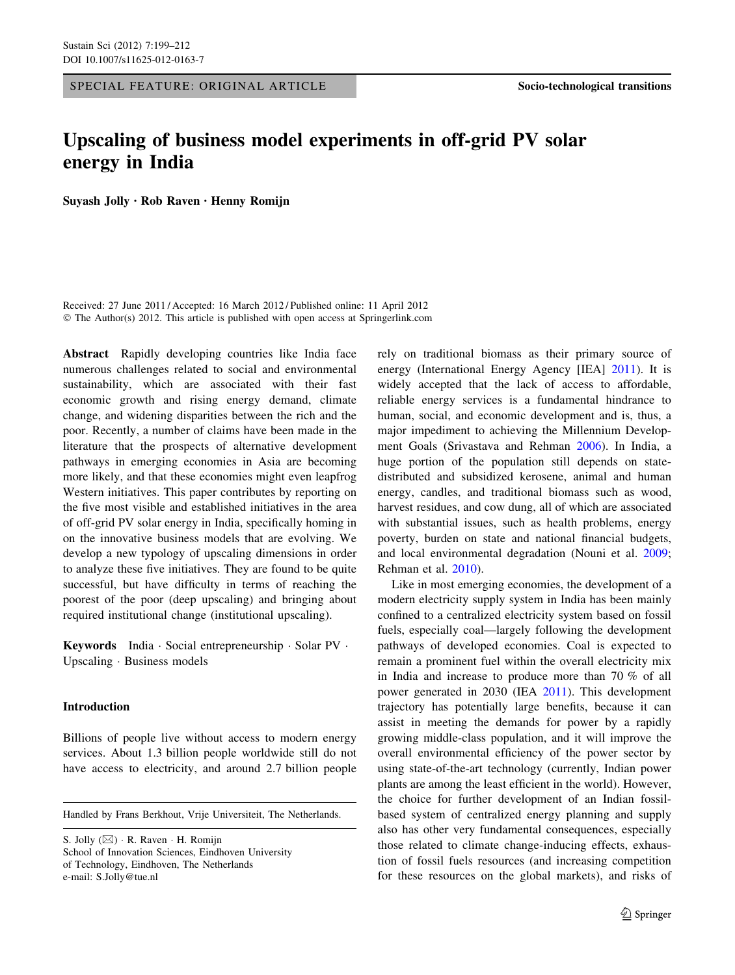SPECIAL FEATURE: ORIGINAL ARTICLE Socio-technological transitions

# Upscaling of business model experiments in off-grid PV solar energy in India

Suyash Jolly • Rob Raven • Henny Romijn

Received: 27 June 2011 / Accepted: 16 March 2012 / Published online: 11 April 2012 © The Author(s) 2012. This article is published with open access at Springerlink.com

Abstract Rapidly developing countries like India face numerous challenges related to social and environmental sustainability, which are associated with their fast economic growth and rising energy demand, climate change, and widening disparities between the rich and the poor. Recently, a number of claims have been made in the literature that the prospects of alternative development pathways in emerging economies in Asia are becoming more likely, and that these economies might even leapfrog Western initiatives. This paper contributes by reporting on the five most visible and established initiatives in the area of off-grid PV solar energy in India, specifically homing in on the innovative business models that are evolving. We develop a new typology of upscaling dimensions in order to analyze these five initiatives. They are found to be quite successful, but have difficulty in terms of reaching the poorest of the poor (deep upscaling) and bringing about required institutional change (institutional upscaling).

Keywords India - Social entrepreneurship - Solar PV - Upscaling - Business models

# Introduction

Billions of people live without access to modern energy services. About 1.3 billion people worldwide still do not have access to electricity, and around 2.7 billion people

Handled by Frans Berkhout, Vrije Universiteit, The Netherlands.

S. Jolly (&) - R. Raven - H. Romijn School of Innovation Sciences, Eindhoven University of Technology, Eindhoven, The Netherlands e-mail: S.Jolly@tue.nl

rely on traditional biomass as their primary source of energy (International Energy Agency [IEA] [2011\)](#page-12-0). It is widely accepted that the lack of access to affordable, reliable energy services is a fundamental hindrance to human, social, and economic development and is, thus, a major impediment to achieving the Millennium Development Goals (Srivastava and Rehman [2006](#page-13-0)). In India, a huge portion of the population still depends on statedistributed and subsidized kerosene, animal and human energy, candles, and traditional biomass such as wood, harvest residues, and cow dung, all of which are associated with substantial issues, such as health problems, energy poverty, burden on state and national financial budgets, and local environmental degradation (Nouni et al. [2009](#page-12-0); Rehman et al. [2010](#page-13-0)).

Like in most emerging economies, the development of a modern electricity supply system in India has been mainly confined to a centralized electricity system based on fossil fuels, especially coal—largely following the development pathways of developed economies. Coal is expected to remain a prominent fuel within the overall electricity mix in India and increase to produce more than 70 % of all power generated in 2030 (IEA [2011](#page-12-0)). This development trajectory has potentially large benefits, because it can assist in meeting the demands for power by a rapidly growing middle-class population, and it will improve the overall environmental efficiency of the power sector by using state-of-the-art technology (currently, Indian power plants are among the least efficient in the world). However, the choice for further development of an Indian fossilbased system of centralized energy planning and supply also has other very fundamental consequences, especially those related to climate change-inducing effects, exhaustion of fossil fuels resources (and increasing competition for these resources on the global markets), and risks of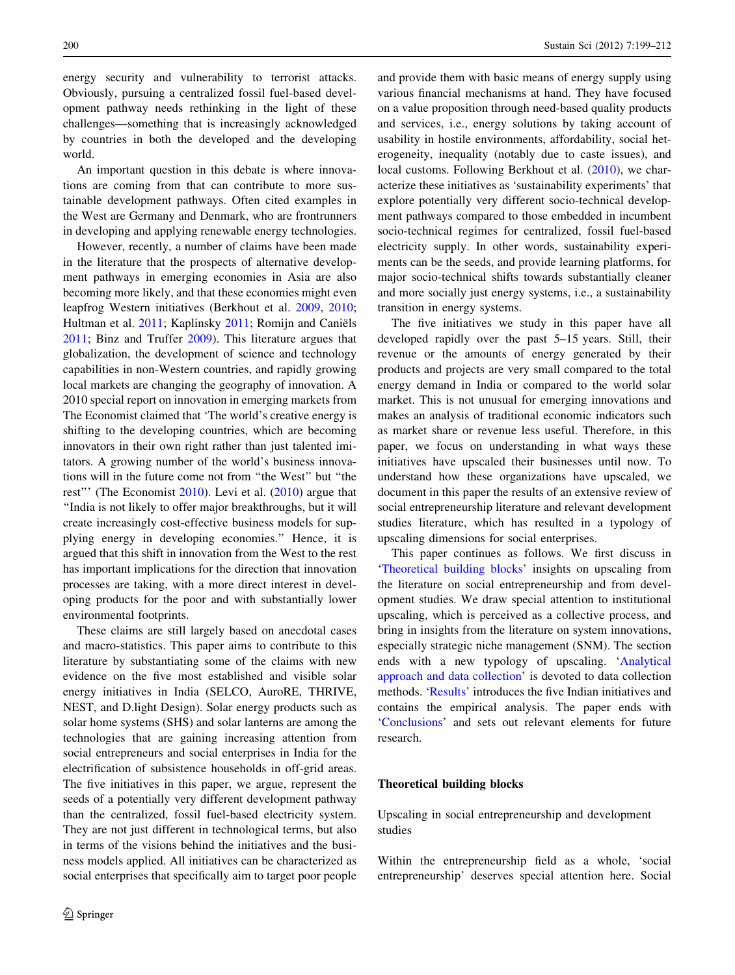<span id="page-1-0"></span>energy security and vulnerability to terrorist attacks. Obviously, pursuing a centralized fossil fuel-based development pathway needs rethinking in the light of these challenges—something that is increasingly acknowledged by countries in both the developed and the developing world.

An important question in this debate is where innovations are coming from that can contribute to more sustainable development pathways. Often cited examples in the West are Germany and Denmark, who are frontrunners in developing and applying renewable energy technologies.

However, recently, a number of claims have been made in the literature that the prospects of alternative development pathways in emerging economies in Asia are also becoming more likely, and that these economies might even leapfrog Western initiatives (Berkhout et al. [2009,](#page-12-0) [2010](#page-12-0); Hultman et al. [2011](#page-12-0); Kaplinsky 2011; Romijn and Caniëls [2011;](#page-13-0) Binz and Truffer [2009](#page-12-0)). This literature argues that globalization, the development of science and technology capabilities in non-Western countries, and rapidly growing local markets are changing the geography of innovation. A 2010 special report on innovation in emerging markets from The Economist claimed that 'The world's creative energy is shifting to the developing countries, which are becoming innovators in their own right rather than just talented imitators. A growing number of the world's business innovations will in the future come not from ''the West'' but ''the rest''' (The Economist [2010](#page-13-0)). Levi et al. [\(2010](#page-12-0)) argue that ''India is not likely to offer major breakthroughs, but it will create increasingly cost-effective business models for supplying energy in developing economies.'' Hence, it is argued that this shift in innovation from the West to the rest has important implications for the direction that innovation processes are taking, with a more direct interest in developing products for the poor and with substantially lower environmental footprints.

These claims are still largely based on anecdotal cases and macro-statistics. This paper aims to contribute to this literature by substantiating some of the claims with new evidence on the five most established and visible solar energy initiatives in India (SELCO, AuroRE, THRIVE, NEST, and D.light Design). Solar energy products such as solar home systems (SHS) and solar lanterns are among the technologies that are gaining increasing attention from social entrepreneurs and social enterprises in India for the electrification of subsistence households in off-grid areas. The five initiatives in this paper, we argue, represent the seeds of a potentially very different development pathway than the centralized, fossil fuel-based electricity system. They are not just different in technological terms, but also in terms of the visions behind the initiatives and the business models applied. All initiatives can be characterized as social enterprises that specifically aim to target poor people and provide them with basic means of energy supply using various financial mechanisms at hand. They have focused on a value proposition through need-based quality products and services, i.e., energy solutions by taking account of usability in hostile environments, affordability, social heterogeneity, inequality (notably due to caste issues), and local customs. Following Berkhout et al. ([2010\)](#page-12-0), we characterize these initiatives as 'sustainability experiments' that explore potentially very different socio-technical development pathways compared to those embedded in incumbent socio-technical regimes for centralized, fossil fuel-based electricity supply. In other words, sustainability experiments can be the seeds, and provide learning platforms, for major socio-technical shifts towards substantially cleaner and more socially just energy systems, i.e., a sustainability transition in energy systems.

The five initiatives we study in this paper have all developed rapidly over the past 5–15 years. Still, their revenue or the amounts of energy generated by their products and projects are very small compared to the total energy demand in India or compared to the world solar market. This is not unusual for emerging innovations and makes an analysis of traditional economic indicators such as market share or revenue less useful. Therefore, in this paper, we focus on understanding in what ways these initiatives have upscaled their businesses until now. To understand how these organizations have upscaled, we document in this paper the results of an extensive review of social entrepreneurship literature and relevant development studies literature, which has resulted in a typology of upscaling dimensions for social enterprises.

This paper continues as follows. We first discuss in 'Theoretical building blocks' insights on upscaling from the literature on social entrepreneurship and from development studies. We draw special attention to institutional upscaling, which is perceived as a collective process, and bring in insights from the literature on system innovations, especially strategic niche management (SNM). The section ends with a new typology of upscaling. ['Analytical](#page-4-0) [approach and data collection'](#page-4-0) is devoted to data collection methods. ['Results'](#page-6-0) introduces the five Indian initiatives and contains the empirical analysis. The paper ends with ['Conclusions'](#page-10-0) and sets out relevant elements for future research.

## Theoretical building blocks

Upscaling in social entrepreneurship and development studies

Within the entrepreneurship field as a whole, 'social entrepreneurship' deserves special attention here. Social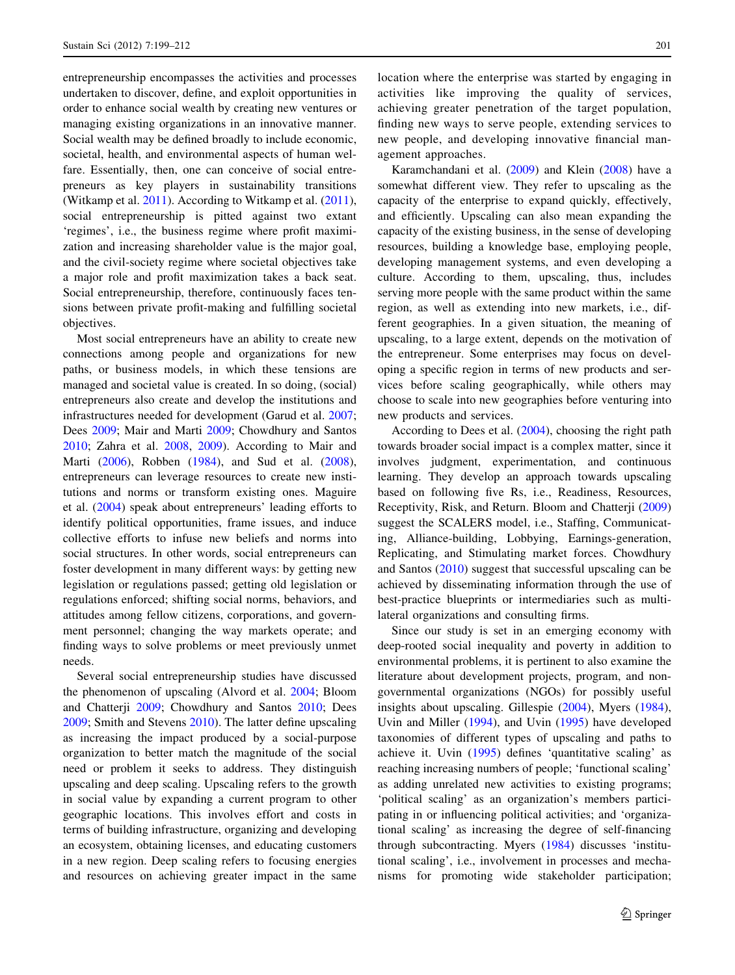entrepreneurship encompasses the activities and processes undertaken to discover, define, and exploit opportunities in order to enhance social wealth by creating new ventures or managing existing organizations in an innovative manner. Social wealth may be defined broadly to include economic, societal, health, and environmental aspects of human welfare. Essentially, then, one can conceive of social entrepreneurs as key players in sustainability transitions (Witkamp et al. [2011\)](#page-13-0). According to Witkamp et al. [\(2011](#page-13-0)), social entrepreneurship is pitted against two extant 'regimes', i.e., the business regime where profit maximization and increasing shareholder value is the major goal, and the civil-society regime where societal objectives take a major role and profit maximization takes a back seat. Social entrepreneurship, therefore, continuously faces tensions between private profit-making and fulfilling societal objectives.

Most social entrepreneurs have an ability to create new connections among people and organizations for new paths, or business models, in which these tensions are managed and societal value is created. In so doing, (social) entrepreneurs also create and develop the institutions and infrastructures needed for development (Garud et al. [2007](#page-12-0); Dees [2009;](#page-12-0) Mair and Marti [2009;](#page-12-0) Chowdhury and Santos [2010;](#page-12-0) Zahra et al. [2008](#page-13-0), [2009](#page-13-0)). According to Mair and Marti ([2006\)](#page-12-0), Robben ([1984\)](#page-13-0), and Sud et al. [\(2008](#page-13-0)), entrepreneurs can leverage resources to create new institutions and norms or transform existing ones. Maguire et al. [\(2004](#page-12-0)) speak about entrepreneurs' leading efforts to identify political opportunities, frame issues, and induce collective efforts to infuse new beliefs and norms into social structures. In other words, social entrepreneurs can foster development in many different ways: by getting new legislation or regulations passed; getting old legislation or regulations enforced; shifting social norms, behaviors, and attitudes among fellow citizens, corporations, and government personnel; changing the way markets operate; and finding ways to solve problems or meet previously unmet needs.

Several social entrepreneurship studies have discussed the phenomenon of upscaling (Alvord et al. [2004](#page-11-0); Bloom and Chatterji [2009;](#page-12-0) Chowdhury and Santos [2010](#page-12-0); Dees [2009;](#page-12-0) Smith and Stevens [2010\)](#page-13-0). The latter define upscaling as increasing the impact produced by a social-purpose organization to better match the magnitude of the social need or problem it seeks to address. They distinguish upscaling and deep scaling. Upscaling refers to the growth in social value by expanding a current program to other geographic locations. This involves effort and costs in terms of building infrastructure, organizing and developing an ecosystem, obtaining licenses, and educating customers in a new region. Deep scaling refers to focusing energies and resources on achieving greater impact in the same location where the enterprise was started by engaging in activities like improving the quality of services, achieving greater penetration of the target population, finding new ways to serve people, extending services to new people, and developing innovative financial management approaches.

Karamchandani et al. ([2009\)](#page-12-0) and Klein [\(2008](#page-12-0)) have a somewhat different view. They refer to upscaling as the capacity of the enterprise to expand quickly, effectively, and efficiently. Upscaling can also mean expanding the capacity of the existing business, in the sense of developing resources, building a knowledge base, employing people, developing management systems, and even developing a culture. According to them, upscaling, thus, includes serving more people with the same product within the same region, as well as extending into new markets, i.e., different geographies. In a given situation, the meaning of upscaling, to a large extent, depends on the motivation of the entrepreneur. Some enterprises may focus on developing a specific region in terms of new products and services before scaling geographically, while others may choose to scale into new geographies before venturing into new products and services.

According to Dees et al. [\(2004](#page-12-0)), choosing the right path towards broader social impact is a complex matter, since it involves judgment, experimentation, and continuous learning. They develop an approach towards upscaling based on following five Rs, i.e., Readiness, Resources, Receptivity, Risk, and Return. Bloom and Chatterji ([2009\)](#page-12-0) suggest the SCALERS model, i.e., Staffing, Communicating, Alliance-building, Lobbying, Earnings-generation, Replicating, and Stimulating market forces. Chowdhury and Santos [\(2010](#page-12-0)) suggest that successful upscaling can be achieved by disseminating information through the use of best-practice blueprints or intermediaries such as multilateral organizations and consulting firms.

Since our study is set in an emerging economy with deep-rooted social inequality and poverty in addition to environmental problems, it is pertinent to also examine the literature about development projects, program, and nongovernmental organizations (NGOs) for possibly useful insights about upscaling. Gillespie ([2004\)](#page-12-0), Myers [\(1984](#page-12-0)), Uvin and Miller ([1994\)](#page-13-0), and Uvin ([1995\)](#page-13-0) have developed taxonomies of different types of upscaling and paths to achieve it. Uvin ([1995\)](#page-13-0) defines 'quantitative scaling' as reaching increasing numbers of people; 'functional scaling' as adding unrelated new activities to existing programs; 'political scaling' as an organization's members participating in or influencing political activities; and 'organizational scaling' as increasing the degree of self-financing through subcontracting. Myers [\(1984](#page-12-0)) discusses 'institutional scaling', i.e., involvement in processes and mechanisms for promoting wide stakeholder participation;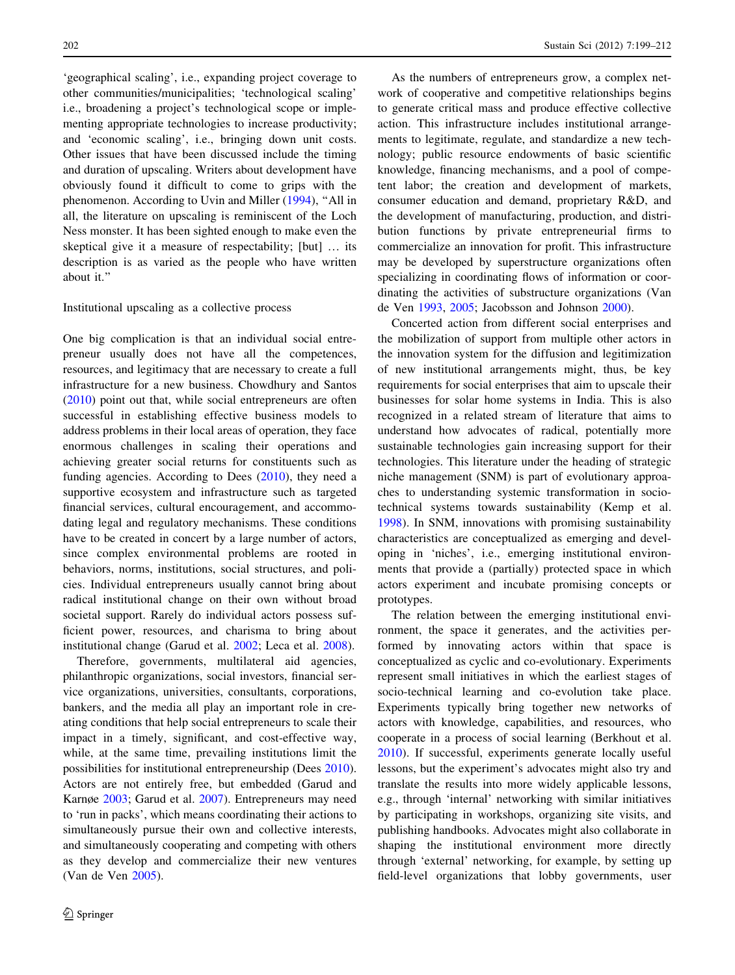'geographical scaling', i.e., expanding project coverage to other communities/municipalities; 'technological scaling' i.e., broadening a project's technological scope or implementing appropriate technologies to increase productivity; and 'economic scaling', i.e., bringing down unit costs. Other issues that have been discussed include the timing and duration of upscaling. Writers about development have obviously found it difficult to come to grips with the phenomenon. According to Uvin and Miller [\(1994](#page-13-0)), ''All in all, the literature on upscaling is reminiscent of the Loch Ness monster. It has been sighted enough to make even the skeptical give it a measure of respectability; [but] … its description is as varied as the people who have written about it.''

## Institutional upscaling as a collective process

One big complication is that an individual social entrepreneur usually does not have all the competences, resources, and legitimacy that are necessary to create a full infrastructure for a new business. Chowdhury and Santos [\(2010](#page-12-0)) point out that, while social entrepreneurs are often successful in establishing effective business models to address problems in their local areas of operation, they face enormous challenges in scaling their operations and achieving greater social returns for constituents such as funding agencies. According to Dees [\(2010](#page-12-0)), they need a supportive ecosystem and infrastructure such as targeted financial services, cultural encouragement, and accommodating legal and regulatory mechanisms. These conditions have to be created in concert by a large number of actors, since complex environmental problems are rooted in behaviors, norms, institutions, social structures, and policies. Individual entrepreneurs usually cannot bring about radical institutional change on their own without broad societal support. Rarely do individual actors possess sufficient power, resources, and charisma to bring about institutional change (Garud et al. [2002](#page-12-0); Leca et al. [2008\)](#page-12-0).

Therefore, governments, multilateral aid agencies, philanthropic organizations, social investors, financial service organizations, universities, consultants, corporations, bankers, and the media all play an important role in creating conditions that help social entrepreneurs to scale their impact in a timely, significant, and cost-effective way, while, at the same time, prevailing institutions limit the possibilities for institutional entrepreneurship (Dees [2010](#page-12-0)). Actors are not entirely free, but embedded (Garud and Karnøe [2003;](#page-12-0) Garud et al. [2007](#page-12-0)). Entrepreneurs may need to 'run in packs', which means coordinating their actions to simultaneously pursue their own and collective interests, and simultaneously cooperating and competing with others as they develop and commercialize their new ventures (Van de Ven [2005\)](#page-13-0).

As the numbers of entrepreneurs grow, a complex network of cooperative and competitive relationships begins to generate critical mass and produce effective collective action. This infrastructure includes institutional arrangements to legitimate, regulate, and standardize a new technology; public resource endowments of basic scientific knowledge, financing mechanisms, and a pool of competent labor; the creation and development of markets, consumer education and demand, proprietary R&D, and the development of manufacturing, production, and distribution functions by private entrepreneurial firms to commercialize an innovation for profit. This infrastructure may be developed by superstructure organizations often specializing in coordinating flows of information or coordinating the activities of substructure organizations (Van de Ven [1993,](#page-13-0) [2005;](#page-13-0) Jacobsson and Johnson [2000](#page-12-0)).

Concerted action from different social enterprises and the mobilization of support from multiple other actors in the innovation system for the diffusion and legitimization of new institutional arrangements might, thus, be key requirements for social enterprises that aim to upscale their businesses for solar home systems in India. This is also recognized in a related stream of literature that aims to understand how advocates of radical, potentially more sustainable technologies gain increasing support for their technologies. This literature under the heading of strategic niche management (SNM) is part of evolutionary approaches to understanding systemic transformation in sociotechnical systems towards sustainability (Kemp et al. [1998](#page-12-0)). In SNM, innovations with promising sustainability characteristics are conceptualized as emerging and developing in 'niches', i.e., emerging institutional environments that provide a (partially) protected space in which actors experiment and incubate promising concepts or prototypes.

The relation between the emerging institutional environment, the space it generates, and the activities performed by innovating actors within that space is conceptualized as cyclic and co-evolutionary. Experiments represent small initiatives in which the earliest stages of socio-technical learning and co-evolution take place. Experiments typically bring together new networks of actors with knowledge, capabilities, and resources, who cooperate in a process of social learning (Berkhout et al. [2010](#page-12-0)). If successful, experiments generate locally useful lessons, but the experiment's advocates might also try and translate the results into more widely applicable lessons, e.g., through 'internal' networking with similar initiatives by participating in workshops, organizing site visits, and publishing handbooks. Advocates might also collaborate in shaping the institutional environment more directly through 'external' networking, for example, by setting up field-level organizations that lobby governments, user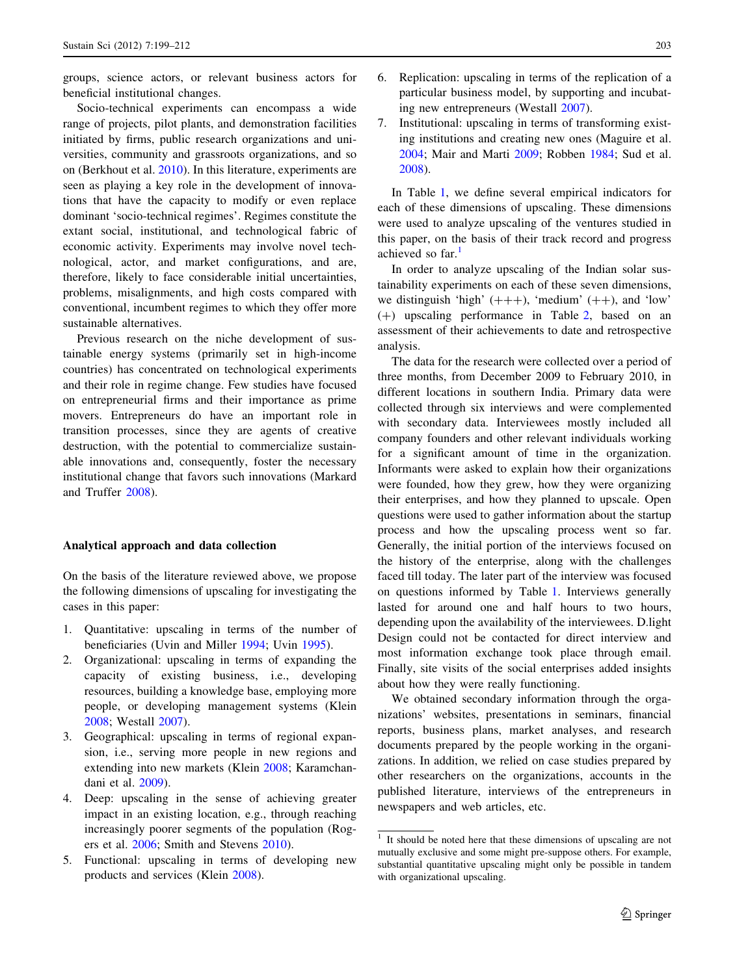<span id="page-4-0"></span>groups, science actors, or relevant business actors for beneficial institutional changes.

Socio-technical experiments can encompass a wide range of projects, pilot plants, and demonstration facilities initiated by firms, public research organizations and universities, community and grassroots organizations, and so on (Berkhout et al. [2010](#page-12-0)). In this literature, experiments are seen as playing a key role in the development of innovations that have the capacity to modify or even replace dominant 'socio-technical regimes'. Regimes constitute the extant social, institutional, and technological fabric of economic activity. Experiments may involve novel technological, actor, and market configurations, and are, therefore, likely to face considerable initial uncertainties, problems, misalignments, and high costs compared with conventional, incumbent regimes to which they offer more sustainable alternatives.

Previous research on the niche development of sustainable energy systems (primarily set in high-income countries) has concentrated on technological experiments and their role in regime change. Few studies have focused on entrepreneurial firms and their importance as prime movers. Entrepreneurs do have an important role in transition processes, since they are agents of creative destruction, with the potential to commercialize sustainable innovations and, consequently, foster the necessary institutional change that favors such innovations (Markard and Truffer [2008](#page-12-0)).

#### Analytical approach and data collection

On the basis of the literature reviewed above, we propose the following dimensions of upscaling for investigating the cases in this paper:

- 1. Quantitative: upscaling in terms of the number of beneficiaries (Uvin and Miller [1994](#page-13-0); Uvin [1995\)](#page-13-0).
- 2. Organizational: upscaling in terms of expanding the capacity of existing business, i.e., developing resources, building a knowledge base, employing more people, or developing management systems (Klein [2008](#page-12-0); Westall [2007\)](#page-13-0).
- 3. Geographical: upscaling in terms of regional expansion, i.e., serving more people in new regions and extending into new markets (Klein [2008;](#page-12-0) Karamchandani et al. [2009\)](#page-12-0).
- 4. Deep: upscaling in the sense of achieving greater impact in an existing location, e.g., through reaching increasingly poorer segments of the population (Rogers et al. [2006](#page-13-0); Smith and Stevens [2010\)](#page-13-0).
- 5. Functional: upscaling in terms of developing new products and services (Klein [2008](#page-12-0)).
- 6. Replication: upscaling in terms of the replication of a particular business model, by supporting and incubating new entrepreneurs (Westall [2007\)](#page-13-0).
- 7. Institutional: upscaling in terms of transforming existing institutions and creating new ones (Maguire et al. [2004;](#page-12-0) Mair and Marti [2009;](#page-12-0) Robben [1984](#page-13-0); Sud et al. [2008\)](#page-13-0).

In Table [1](#page-5-0), we define several empirical indicators for each of these dimensions of upscaling. These dimensions were used to analyze upscaling of the ventures studied in this paper, on the basis of their track record and progress achieved so  $far<sup>1</sup>$ 

In order to analyze upscaling of the Indian solar sustainability experiments on each of these seven dimensions, we distinguish 'high'  $(+++)$ , 'medium'  $(+)$ , and 'low' (?) upscaling performance in Table [2,](#page-5-0) based on an assessment of their achievements to date and retrospective analysis.

The data for the research were collected over a period of three months, from December 2009 to February 2010, in different locations in southern India. Primary data were collected through six interviews and were complemented with secondary data. Interviewees mostly included all company founders and other relevant individuals working for a significant amount of time in the organization. Informants were asked to explain how their organizations were founded, how they grew, how they were organizing their enterprises, and how they planned to upscale. Open questions were used to gather information about the startup process and how the upscaling process went so far. Generally, the initial portion of the interviews focused on the history of the enterprise, along with the challenges faced till today. The later part of the interview was focused on questions informed by Table [1](#page-5-0). Interviews generally lasted for around one and half hours to two hours, depending upon the availability of the interviewees. D.light Design could not be contacted for direct interview and most information exchange took place through email. Finally, site visits of the social enterprises added insights about how they were really functioning.

We obtained secondary information through the organizations' websites, presentations in seminars, financial reports, business plans, market analyses, and research documents prepared by the people working in the organizations. In addition, we relied on case studies prepared by other researchers on the organizations, accounts in the published literature, interviews of the entrepreneurs in newspapers and web articles, etc.

<sup>&</sup>lt;sup>1</sup> It should be noted here that these dimensions of upscaling are not mutually exclusive and some might pre-suppose others. For example, substantial quantitative upscaling might only be possible in tandem with organizational upscaling.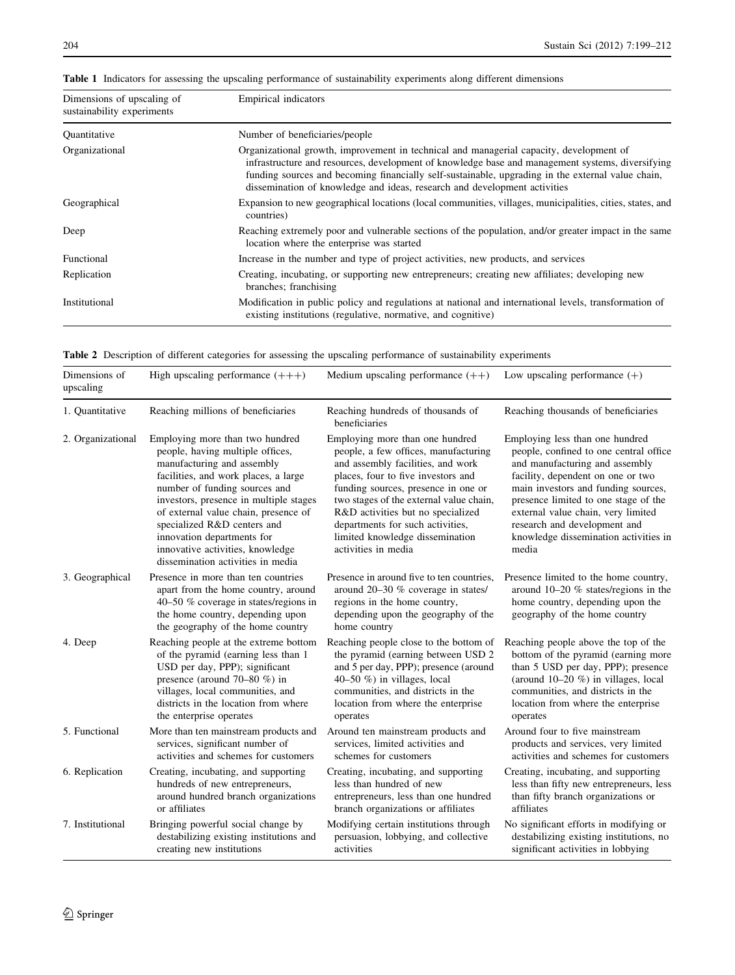<span id="page-5-0"></span>Table 1 Indicators for assessing the upscaling performance of sustainability experiments along different dimensions

| Dimensions of upscaling of<br>sustainability experiments                                                                                                                               | <b>Empirical indicators</b>                                                                                                                                                                                                                                                                                                                                                   |  |  |
|----------------------------------------------------------------------------------------------------------------------------------------------------------------------------------------|-------------------------------------------------------------------------------------------------------------------------------------------------------------------------------------------------------------------------------------------------------------------------------------------------------------------------------------------------------------------------------|--|--|
| Quantitative                                                                                                                                                                           | Number of beneficiaries/people                                                                                                                                                                                                                                                                                                                                                |  |  |
| Organizational                                                                                                                                                                         | Organizational growth, improvement in technical and managerial capacity, development of<br>infrastructure and resources, development of knowledge base and management systems, diversifying<br>funding sources and becoming financially self-sustainable, upgrading in the external value chain,<br>dissemination of knowledge and ideas, research and development activities |  |  |
| Geographical                                                                                                                                                                           | Expansion to new geographical locations (local communities, villages, municipalities, cities, states, and<br>countries)                                                                                                                                                                                                                                                       |  |  |
| Deep                                                                                                                                                                                   | Reaching extremely poor and vulnerable sections of the population, and/or greater impact in the same<br>location where the enterprise was started                                                                                                                                                                                                                             |  |  |
| Functional                                                                                                                                                                             | Increase in the number and type of project activities, new products, and services                                                                                                                                                                                                                                                                                             |  |  |
| Replication                                                                                                                                                                            | Creating, incubating, or supporting new entrepreneurs; creating new affiliates; developing new<br>branches; franchising                                                                                                                                                                                                                                                       |  |  |
| Institutional<br>Modification in public policy and regulations at national and international levels, transformation of<br>existing institutions (regulative, normative, and cognitive) |                                                                                                                                                                                                                                                                                                                                                                               |  |  |

Table 2 Description of different categories for assessing the upscaling performance of sustainability experiments

| Dimensions of<br>upscaling | High upscaling performance $(++)$                                                                                                                                                                                                                                                                                                                                                                  | Medium upscaling performance $(++)$                                                                                                                                                                                                                                                                                                                                     | Low upscaling performance $(+)$                                                                                                                                                                                                                                                                                                                         |  |
|----------------------------|----------------------------------------------------------------------------------------------------------------------------------------------------------------------------------------------------------------------------------------------------------------------------------------------------------------------------------------------------------------------------------------------------|-------------------------------------------------------------------------------------------------------------------------------------------------------------------------------------------------------------------------------------------------------------------------------------------------------------------------------------------------------------------------|---------------------------------------------------------------------------------------------------------------------------------------------------------------------------------------------------------------------------------------------------------------------------------------------------------------------------------------------------------|--|
| 1. Quantitative            | Reaching millions of beneficiaries                                                                                                                                                                                                                                                                                                                                                                 | Reaching hundreds of thousands of<br>beneficiaries                                                                                                                                                                                                                                                                                                                      | Reaching thousands of beneficiaries                                                                                                                                                                                                                                                                                                                     |  |
| 2. Organizational          | Employing more than two hundred<br>people, having multiple offices,<br>manufacturing and assembly<br>facilities, and work places, a large<br>number of funding sources and<br>investors, presence in multiple stages<br>of external value chain, presence of<br>specialized R&D centers and<br>innovation departments for<br>innovative activities, knowledge<br>dissemination activities in media | Employing more than one hundred<br>people, a few offices, manufacturing<br>and assembly facilities, and work<br>places, four to five investors and<br>funding sources, presence in one or<br>two stages of the external value chain,<br>R&D activities but no specialized<br>departments for such activities,<br>limited knowledge dissemination<br>activities in media | Employing less than one hundred<br>people, confined to one central office<br>and manufacturing and assembly<br>facility, dependent on one or two<br>main investors and funding sources,<br>presence limited to one stage of the<br>external value chain, very limited<br>research and development and<br>knowledge dissemination activities in<br>media |  |
| 3. Geographical            | Presence in more than ten countries<br>apart from the home country, around<br>40-50 % coverage in states/regions in<br>the home country, depending upon<br>the geography of the home country                                                                                                                                                                                                       | Presence in around five to ten countries,<br>around 20-30 % coverage in states/<br>regions in the home country,<br>depending upon the geography of the<br>home country                                                                                                                                                                                                  | Presence limited to the home country,<br>around $10-20$ % states/regions in the<br>home country, depending upon the<br>geography of the home country                                                                                                                                                                                                    |  |
| 4. Deep                    | Reaching people at the extreme bottom                                                                                                                                                                                                                                                                                                                                                              | Reaching people close to the bottom of                                                                                                                                                                                                                                                                                                                                  | Reaching people above the top of the                                                                                                                                                                                                                                                                                                                    |  |
|                            | of the pyramid (earning less than 1                                                                                                                                                                                                                                                                                                                                                                | the pyramid (earning between USD 2                                                                                                                                                                                                                                                                                                                                      | bottom of the pyramid (earning more                                                                                                                                                                                                                                                                                                                     |  |
|                            | USD per day, PPP); significant                                                                                                                                                                                                                                                                                                                                                                     | and 5 per day, PPP); presence (around                                                                                                                                                                                                                                                                                                                                   | than 5 USD per day, PPP); presence                                                                                                                                                                                                                                                                                                                      |  |
|                            | presence (around 70–80 $%$ ) in                                                                                                                                                                                                                                                                                                                                                                    | 40-50 %) in villages, local                                                                                                                                                                                                                                                                                                                                             | (around $10-20$ %) in villages, local                                                                                                                                                                                                                                                                                                                   |  |
|                            | villages, local communities, and                                                                                                                                                                                                                                                                                                                                                                   | communities, and districts in the                                                                                                                                                                                                                                                                                                                                       | communities, and districts in the                                                                                                                                                                                                                                                                                                                       |  |
|                            | districts in the location from where                                                                                                                                                                                                                                                                                                                                                               | location from where the enterprise                                                                                                                                                                                                                                                                                                                                      | location from where the enterprise                                                                                                                                                                                                                                                                                                                      |  |
|                            | the enterprise operates                                                                                                                                                                                                                                                                                                                                                                            | operates                                                                                                                                                                                                                                                                                                                                                                | operates                                                                                                                                                                                                                                                                                                                                                |  |
| 5. Functional              | More than ten mainstream products and                                                                                                                                                                                                                                                                                                                                                              | Around ten mainstream products and                                                                                                                                                                                                                                                                                                                                      | Around four to five mainstream                                                                                                                                                                                                                                                                                                                          |  |
|                            | services, significant number of                                                                                                                                                                                                                                                                                                                                                                    | services, limited activities and                                                                                                                                                                                                                                                                                                                                        | products and services, very limited                                                                                                                                                                                                                                                                                                                     |  |
|                            | activities and schemes for customers                                                                                                                                                                                                                                                                                                                                                               | schemes for customers                                                                                                                                                                                                                                                                                                                                                   | activities and schemes for customers                                                                                                                                                                                                                                                                                                                    |  |
| 6. Replication             | Creating, incubating, and supporting                                                                                                                                                                                                                                                                                                                                                               | Creating, incubating, and supporting                                                                                                                                                                                                                                                                                                                                    | Creating, incubating, and supporting                                                                                                                                                                                                                                                                                                                    |  |
|                            | hundreds of new entrepreneurs,                                                                                                                                                                                                                                                                                                                                                                     | less than hundred of new                                                                                                                                                                                                                                                                                                                                                | less than fifty new entrepreneurs, less                                                                                                                                                                                                                                                                                                                 |  |
|                            | around hundred branch organizations                                                                                                                                                                                                                                                                                                                                                                | entrepreneurs, less than one hundred                                                                                                                                                                                                                                                                                                                                    | than fifty branch organizations or                                                                                                                                                                                                                                                                                                                      |  |
|                            | or affiliates                                                                                                                                                                                                                                                                                                                                                                                      | branch organizations or affiliates                                                                                                                                                                                                                                                                                                                                      | affiliates                                                                                                                                                                                                                                                                                                                                              |  |
| 7. Institutional           | Bringing powerful social change by                                                                                                                                                                                                                                                                                                                                                                 | Modifying certain institutions through                                                                                                                                                                                                                                                                                                                                  | No significant efforts in modifying or                                                                                                                                                                                                                                                                                                                  |  |
|                            | destabilizing existing institutions and                                                                                                                                                                                                                                                                                                                                                            | persuasion, lobbying, and collective                                                                                                                                                                                                                                                                                                                                    | destabilizing existing institutions, no                                                                                                                                                                                                                                                                                                                 |  |
|                            | creating new institutions                                                                                                                                                                                                                                                                                                                                                                          | activities                                                                                                                                                                                                                                                                                                                                                              | significant activities in lobbying                                                                                                                                                                                                                                                                                                                      |  |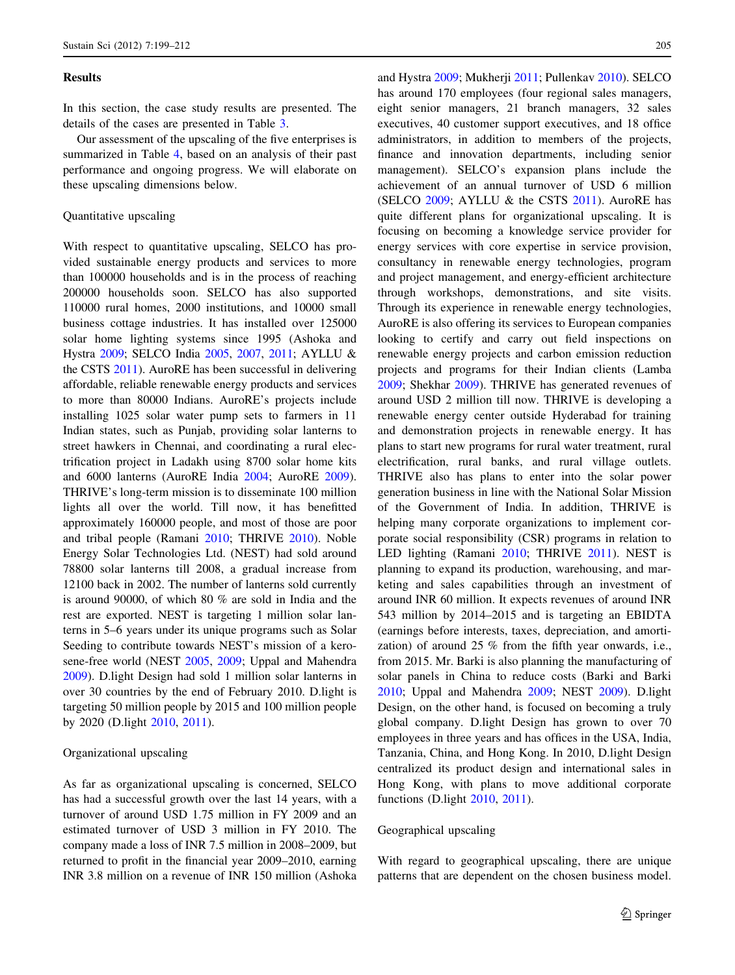#### <span id="page-6-0"></span>**Results**

In this section, the case study results are presented. The details of the cases are presented in Table [3.](#page-7-0)

Our assessment of the upscaling of the five enterprises is summarized in Table [4,](#page-9-0) based on an analysis of their past performance and ongoing progress. We will elaborate on these upscaling dimensions below.

## Quantitative upscaling

With respect to quantitative upscaling, SELCO has provided sustainable energy products and services to more than 100000 households and is in the process of reaching 200000 households soon. SELCO has also supported 110000 rural homes, 2000 institutions, and 10000 small business cottage industries. It has installed over 125000 solar home lighting systems since 1995 (Ashoka and Hystra [2009;](#page-11-0) SELCO India [2005,](#page-13-0) [2007,](#page-13-0) [2011](#page-13-0); AYLLU & the CSTS [2011](#page-11-0)). AuroRE has been successful in delivering affordable, reliable renewable energy products and services to more than 80000 Indians. AuroRE's projects include installing 1025 solar water pump sets to farmers in 11 Indian states, such as Punjab, providing solar lanterns to street hawkers in Chennai, and coordinating a rural electrification project in Ladakh using 8700 solar home kits and 6000 lanterns (AuroRE India [2004;](#page-11-0) AuroRE [2009](#page-11-0)). THRIVE's long-term mission is to disseminate 100 million lights all over the world. Till now, it has benefitted approximately 160000 people, and most of those are poor and tribal people (Ramani [2010;](#page-13-0) THRIVE [2010](#page-13-0)). Noble Energy Solar Technologies Ltd. (NEST) had sold around 78800 solar lanterns till 2008, a gradual increase from 12100 back in 2002. The number of lanterns sold currently is around 90000, of which 80 % are sold in India and the rest are exported. NEST is targeting 1 million solar lanterns in 5–6 years under its unique programs such as Solar Seeding to contribute towards NEST's mission of a kerosene-free world (NEST [2005](#page-12-0), [2009](#page-12-0); Uppal and Mahendra [2009\)](#page-13-0). D.light Design had sold 1 million solar lanterns in over 30 countries by the end of February 2010. D.light is targeting 50 million people by 2015 and 100 million people by 2020 (D.light [2010](#page-12-0), [2011](#page-12-0)).

## Organizational upscaling

As far as organizational upscaling is concerned, SELCO has had a successful growth over the last 14 years, with a turnover of around USD 1.75 million in FY 2009 and an estimated turnover of USD 3 million in FY 2010. The company made a loss of INR 7.5 million in 2008–2009, but returned to profit in the financial year 2009–2010, earning INR 3.8 million on a revenue of INR 150 million (Ashoka

and Hystra [2009;](#page-11-0) Mukherji [2011;](#page-12-0) Pullenkav [2010](#page-12-0)). SELCO has around 170 employees (four regional sales managers, eight senior managers, 21 branch managers, 32 sales executives, 40 customer support executives, and 18 office administrators, in addition to members of the projects, finance and innovation departments, including senior management). SELCO's expansion plans include the achievement of an annual turnover of USD 6 million (SELCO [2009;](#page-13-0) AYLLU & the CSTS [2011](#page-11-0)). AuroRE has quite different plans for organizational upscaling. It is focusing on becoming a knowledge service provider for energy services with core expertise in service provision, consultancy in renewable energy technologies, program and project management, and energy-efficient architecture through workshops, demonstrations, and site visits. Through its experience in renewable energy technologies, AuroRE is also offering its services to European companies looking to certify and carry out field inspections on renewable energy projects and carbon emission reduction projects and programs for their Indian clients (Lamba [2009](#page-12-0); Shekhar [2009\)](#page-13-0). THRIVE has generated revenues of around USD 2 million till now. THRIVE is developing a renewable energy center outside Hyderabad for training and demonstration projects in renewable energy. It has plans to start new programs for rural water treatment, rural electrification, rural banks, and rural village outlets. THRIVE also has plans to enter into the solar power generation business in line with the National Solar Mission of the Government of India. In addition, THRIVE is helping many corporate organizations to implement corporate social responsibility (CSR) programs in relation to LED lighting (Ramani [2010;](#page-13-0) THRIVE [2011](#page-13-0)). NEST is planning to expand its production, warehousing, and marketing and sales capabilities through an investment of around INR 60 million. It expects revenues of around INR 543 million by 2014–2015 and is targeting an EBIDTA (earnings before interests, taxes, depreciation, and amortization) of around 25 % from the fifth year onwards, i.e., from 2015. Mr. Barki is also planning the manufacturing of solar panels in China to reduce costs (Barki and Barki [2010](#page-12-0); Uppal and Mahendra [2009;](#page-13-0) NEST [2009](#page-12-0)). D.light Design, on the other hand, is focused on becoming a truly global company. D.light Design has grown to over 70 employees in three years and has offices in the USA, India, Tanzania, China, and Hong Kong. In 2010, D.light Design centralized its product design and international sales in Hong Kong, with plans to move additional corporate functions (D.light [2010](#page-12-0), [2011](#page-12-0)).

## Geographical upscaling

With regard to geographical upscaling, there are unique patterns that are dependent on the chosen business model.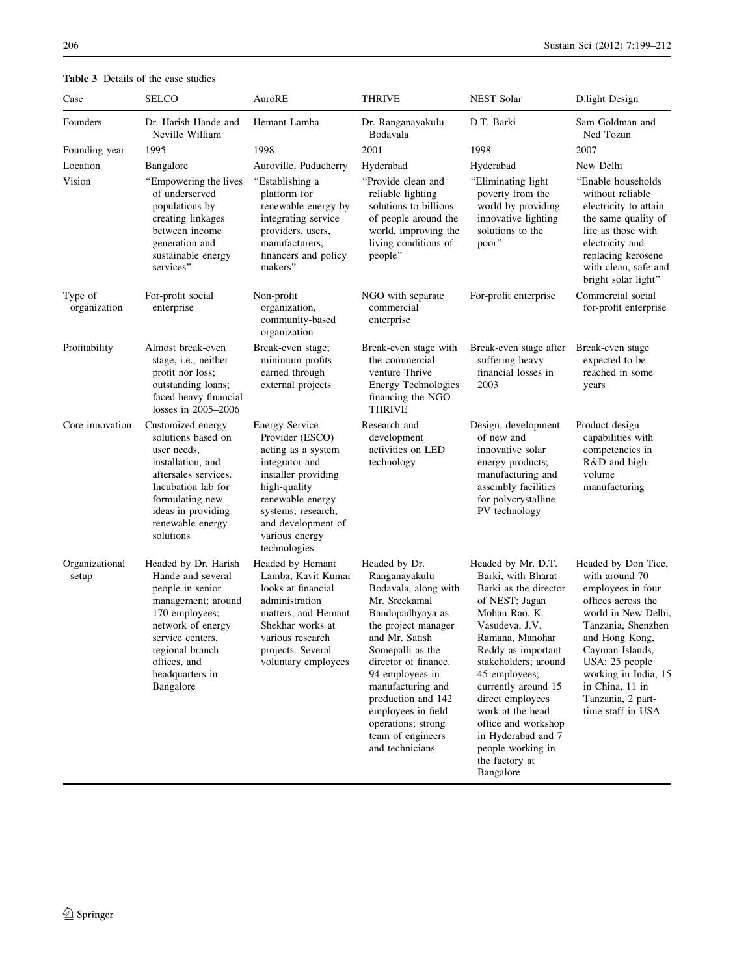# <span id="page-7-0"></span>Table 3 Details of the case studies

| Case                    | <b>SELCO</b>                                                                                                                                                                                                      | AuroRE                                                                                                                                                                                                                    | <b>THRIVE</b>                                                                                                                                                                                                                                                                                                                      | <b>NEST Solar</b>                                                                                                                                                                                                                                                                                                                                                        | D.light Design                                                                                                                                                                                                                                                            |
|-------------------------|-------------------------------------------------------------------------------------------------------------------------------------------------------------------------------------------------------------------|---------------------------------------------------------------------------------------------------------------------------------------------------------------------------------------------------------------------------|------------------------------------------------------------------------------------------------------------------------------------------------------------------------------------------------------------------------------------------------------------------------------------------------------------------------------------|--------------------------------------------------------------------------------------------------------------------------------------------------------------------------------------------------------------------------------------------------------------------------------------------------------------------------------------------------------------------------|---------------------------------------------------------------------------------------------------------------------------------------------------------------------------------------------------------------------------------------------------------------------------|
| Founders                | Dr. Harish Hande and<br>Neville William                                                                                                                                                                           | Hemant Lamba                                                                                                                                                                                                              | Dr. Ranganayakulu<br>Bodavala                                                                                                                                                                                                                                                                                                      | D.T. Barki                                                                                                                                                                                                                                                                                                                                                               | Sam Goldman and<br>Ned Tozun                                                                                                                                                                                                                                              |
| Founding year           | 1995                                                                                                                                                                                                              | 1998                                                                                                                                                                                                                      | 2001                                                                                                                                                                                                                                                                                                                               | 1998                                                                                                                                                                                                                                                                                                                                                                     | 2007                                                                                                                                                                                                                                                                      |
| Location                | Bangalore                                                                                                                                                                                                         | Auroville, Puducherry                                                                                                                                                                                                     | Hyderabad                                                                                                                                                                                                                                                                                                                          | Hyderabad                                                                                                                                                                                                                                                                                                                                                                | New Delhi                                                                                                                                                                                                                                                                 |
| Vision                  | "Empowering the lives"<br>of underserved<br>populations by<br>creating linkages<br>between income<br>generation and<br>sustainable energy<br>services"                                                            | "Establishing a<br>platform for<br>renewable energy by<br>integrating service<br>providers, users,<br>manufacturers,<br>financers and policy<br>makers"                                                                   | "Provide clean and<br>reliable lighting<br>solutions to billions<br>of people around the<br>world, improving the<br>living conditions of<br>people"                                                                                                                                                                                | "Eliminating light<br>poverty from the<br>world by providing<br>innovative lighting<br>solutions to the<br>poor"                                                                                                                                                                                                                                                         | "Enable households<br>without reliable<br>electricity to attain<br>the same quality of<br>life as those with<br>electricity and<br>replacing kerosene<br>with clean, safe and<br>bright solar light"                                                                      |
| Type of<br>organization | For-profit social<br>enterprise                                                                                                                                                                                   | Non-profit<br>organization,<br>community-based<br>organization                                                                                                                                                            | NGO with separate<br>commercial<br>enterprise                                                                                                                                                                                                                                                                                      | For-profit enterprise                                                                                                                                                                                                                                                                                                                                                    | Commercial social<br>for-profit enterprise                                                                                                                                                                                                                                |
| Profitability           | Almost break-even<br>stage, i.e., neither<br>profit nor loss;<br>outstanding loans;<br>faced heavy financial<br>losses in $2005-2006$                                                                             | Break-even stage;<br>minimum profits<br>earned through<br>external projects                                                                                                                                               | Break-even stage with<br>the commercial<br>venture Thrive<br><b>Energy Technologies</b><br>financing the NGO<br><b>THRIVE</b>                                                                                                                                                                                                      | Break-even stage after<br>suffering heavy<br>financial losses in<br>2003                                                                                                                                                                                                                                                                                                 | Break-even stage<br>expected to be<br>reached in some<br>years                                                                                                                                                                                                            |
| Core innovation         | Customized energy<br>solutions based on<br>user needs,<br>installation, and<br>aftersales services.<br>Incubation lab for<br>formulating new<br>ideas in providing<br>renewable energy<br>solutions               | <b>Energy Service</b><br>Provider (ESCO)<br>acting as a system<br>integrator and<br>installer providing<br>high-quality<br>renewable energy<br>systems, research,<br>and development of<br>various energy<br>technologies | Research and<br>development<br>activities on LED<br>technology                                                                                                                                                                                                                                                                     | Design, development<br>of new and<br>innovative solar<br>energy products;<br>manufacturing and<br>assembly facilities<br>for polycrystalline<br>PV technology                                                                                                                                                                                                            | Product design<br>capabilities with<br>competencies in<br>R&D and high-<br>volume<br>manufacturing                                                                                                                                                                        |
| Organizational<br>setup | Headed by Dr. Harish<br>Hande and several<br>people in senior<br>management; around<br>170 employees;<br>network of energy<br>service centers,<br>regional branch<br>offices, and<br>headquarters in<br>Bangalore | Headed by Hemant<br>Lamba, Kavit Kumar<br>looks at financial<br>administration<br>matters, and Hemant<br>Shekhar works at<br>various research<br>projects. Several<br>voluntary employees                                 | Headed by Dr.<br>Ranganayakulu<br>Bodavala, along with<br>Mr. Sreekamal<br>Bandopadhyaya as<br>the project manager<br>and Mr. Satish<br>Somepalli as the<br>director of finance.<br>94 employees in<br>manufacturing and<br>production and 142<br>employees in field<br>operations; strong<br>team of engineers<br>and technicians | Headed by Mr. D.T.<br>Barki, with Bharat<br>Barki as the director<br>of NEST; Jagan<br>Mohan Rao, K.<br>Vasudeva, J.V.<br>Ramana, Manohar<br>Reddy as important<br>stakeholders; around<br>45 employees;<br>currently around 15<br>direct employees<br>work at the head<br>office and workshop<br>in Hyderabad and 7<br>people working in<br>the factory at<br>Bangalore | Headed by Don Tice,<br>with around 70<br>employees in four<br>offices across the<br>world in New Delhi,<br>Tanzania, Shenzhen<br>and Hong Kong,<br>Cayman Islands,<br>USA; 25 people<br>working in India, 15<br>in China, 11 in<br>Tanzania, 2 part-<br>time staff in USA |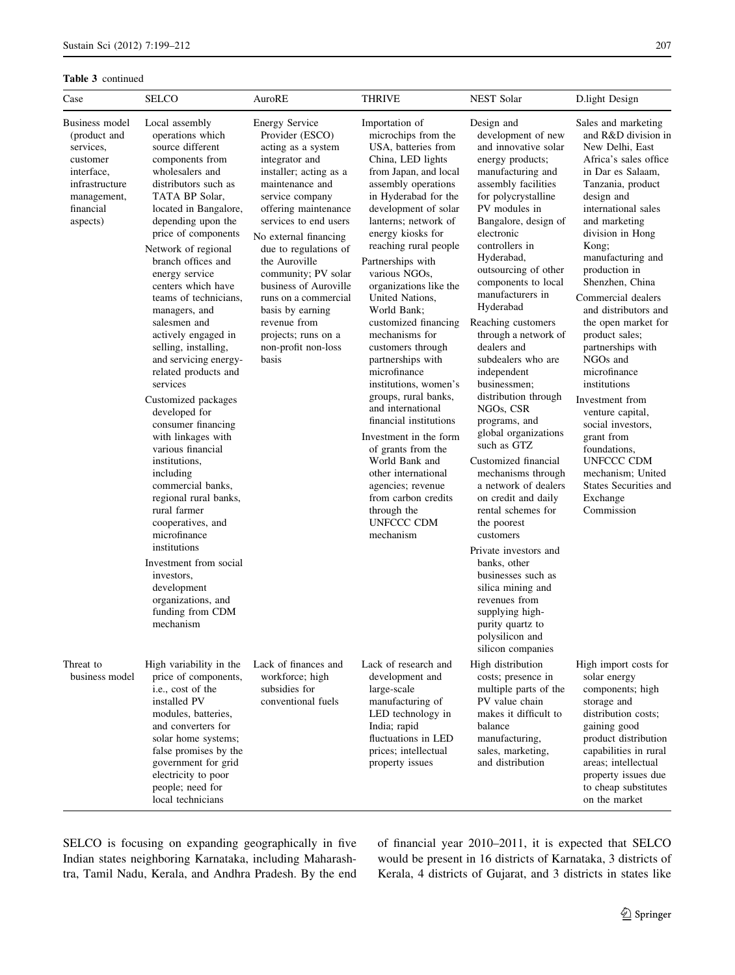#### Table 3 continued

| Case                                                                                                                            | <b>SELCO</b>                                                                                                                                                                                                                                                                                                                                                                                                                                                                                                                                                                                                                                                                                                                                                                                                                                    | AuroRE                                                                                                                                                                                                                                                                                                                                                                                                                                  | <b>THRIVE</b>                                                                                                                                                                                                                                                                                                                                                                                                                                                                                                                                                                                                                                                                                                                                       | <b>NEST Solar</b>                                                                                                                                                                                                                                                                                                                                                                                                                                                                                                                                                                                                                                                                                                                                                                                                                                                        | D.light Design                                                                                                                                                                                                                                                                                                                                                                                                                                                                                                                                                                                                              |
|---------------------------------------------------------------------------------------------------------------------------------|-------------------------------------------------------------------------------------------------------------------------------------------------------------------------------------------------------------------------------------------------------------------------------------------------------------------------------------------------------------------------------------------------------------------------------------------------------------------------------------------------------------------------------------------------------------------------------------------------------------------------------------------------------------------------------------------------------------------------------------------------------------------------------------------------------------------------------------------------|-----------------------------------------------------------------------------------------------------------------------------------------------------------------------------------------------------------------------------------------------------------------------------------------------------------------------------------------------------------------------------------------------------------------------------------------|-----------------------------------------------------------------------------------------------------------------------------------------------------------------------------------------------------------------------------------------------------------------------------------------------------------------------------------------------------------------------------------------------------------------------------------------------------------------------------------------------------------------------------------------------------------------------------------------------------------------------------------------------------------------------------------------------------------------------------------------------------|--------------------------------------------------------------------------------------------------------------------------------------------------------------------------------------------------------------------------------------------------------------------------------------------------------------------------------------------------------------------------------------------------------------------------------------------------------------------------------------------------------------------------------------------------------------------------------------------------------------------------------------------------------------------------------------------------------------------------------------------------------------------------------------------------------------------------------------------------------------------------|-----------------------------------------------------------------------------------------------------------------------------------------------------------------------------------------------------------------------------------------------------------------------------------------------------------------------------------------------------------------------------------------------------------------------------------------------------------------------------------------------------------------------------------------------------------------------------------------------------------------------------|
| Business model<br>(product and<br>services,<br>customer<br>interface,<br>infrastructure<br>management,<br>financial<br>aspects) | Local assembly<br>operations which<br>source different<br>components from<br>wholesalers and<br>distributors such as<br>TATA BP Solar,<br>located in Bangalore,<br>depending upon the<br>price of components<br>Network of regional<br>branch offices and<br>energy service<br>centers which have<br>teams of technicians,<br>managers, and<br>salesmen and<br>actively engaged in<br>selling, installing,<br>and servicing energy-<br>related products and<br>services<br>Customized packages<br>developed for<br>consumer financing<br>with linkages with<br>various financial<br>institutions,<br>including<br>commercial banks,<br>regional rural banks,<br>rural farmer<br>cooperatives, and<br>microfinance<br>institutions<br>Investment from social<br>investors,<br>development<br>organizations, and<br>funding from CDM<br>mechanism | <b>Energy Service</b><br>Provider (ESCO)<br>acting as a system<br>integrator and<br>installer; acting as a<br>maintenance and<br>service company<br>offering maintenance<br>services to end users<br>No external financing<br>due to regulations of<br>the Auroville<br>community; PV solar<br>business of Auroville<br>runs on a commercial<br>basis by earning<br>revenue from<br>projects; runs on a<br>non-profit non-loss<br>basis | Importation of<br>microchips from the<br>USA, batteries from<br>China, LED lights<br>from Japan, and local<br>assembly operations<br>in Hyderabad for the<br>development of solar<br>lanterns; network of<br>energy kiosks for<br>reaching rural people<br>Partnerships with<br>various NGOs.<br>organizations like the<br>United Nations,<br>World Bank;<br>customized financing<br>mechanisms for<br>customers through<br>partnerships with<br>microfinance<br>institutions, women's<br>groups, rural banks,<br>and international<br>financial institutions<br>Investment in the form<br>of grants from the<br>World Bank and<br>other international<br>agencies; revenue<br>from carbon credits<br>through the<br><b>UNFCCC CDM</b><br>mechanism | Design and<br>development of new<br>and innovative solar<br>energy products;<br>manufacturing and<br>assembly facilities<br>for polycrystalline<br>PV modules in<br>Bangalore, design of<br>electronic<br>controllers in<br>Hyderabad,<br>outsourcing of other<br>components to local<br>manufacturers in<br>Hyderabad<br>Reaching customers<br>through a network of<br>dealers and<br>subdealers who are<br>independent<br>businessmen;<br>distribution through<br>NGOs, CSR<br>programs, and<br>global organizations<br>such as GTZ<br>Customized financial<br>mechanisms through<br>a network of dealers<br>on credit and daily<br>rental schemes for<br>the poorest<br>customers<br>Private investors and<br>banks, other<br>businesses such as<br>silica mining and<br>revenues from<br>supplying high-<br>purity quartz to<br>polysilicon and<br>silicon companies | Sales and marketing<br>and R&D division in<br>New Delhi, East<br>Africa's sales office<br>in Dar es Salaam,<br>Tanzania, product<br>design and<br>international sales<br>and marketing<br>division in Hong<br>Kong:<br>manufacturing and<br>production in<br>Shenzhen, China<br>Commercial dealers<br>and distributors and<br>the open market for<br>product sales;<br>partnerships with<br>NGOs and<br>microfinance<br>institutions<br>Investment from<br>venture capital,<br>social investors,<br>grant from<br>foundations,<br><b>UNFCCC CDM</b><br>mechanism; United<br>States Securities and<br>Exchange<br>Commission |
| Threat to<br>business model                                                                                                     | High variability in the<br>price of components,<br>i.e., cost of the<br>installed PV<br>modules, batteries,<br>and converters for<br>solar home systems;<br>false promises by the<br>government for grid<br>electricity to poor<br>people; need for<br>local technicians                                                                                                                                                                                                                                                                                                                                                                                                                                                                                                                                                                        | Lack of finances and<br>workforce; high<br>subsidies for<br>conventional fuels                                                                                                                                                                                                                                                                                                                                                          | Lack of research and<br>development and<br>large-scale<br>manufacturing of<br>LED technology in<br>India; rapid<br>fluctuations in LED<br>prices; intellectual<br>property issues                                                                                                                                                                                                                                                                                                                                                                                                                                                                                                                                                                   | High distribution<br>costs; presence in<br>multiple parts of the<br>PV value chain<br>makes it difficult to<br>balance<br>manufacturing,<br>sales, marketing,<br>and distribution                                                                                                                                                                                                                                                                                                                                                                                                                                                                                                                                                                                                                                                                                        | High import costs for<br>solar energy<br>components; high<br>storage and<br>distribution costs;<br>gaining good<br>product distribution<br>capabilities in rural<br>areas; intellectual<br>property issues due<br>to cheap substitutes<br>on the market                                                                                                                                                                                                                                                                                                                                                                     |

SELCO is focusing on expanding geographically in five Indian states neighboring Karnataka, including Maharashtra, Tamil Nadu, Kerala, and Andhra Pradesh. By the end of financial year 2010–2011, it is expected that SELCO would be present in 16 districts of Karnataka, 3 districts of Kerala, 4 districts of Gujarat, and 3 districts in states like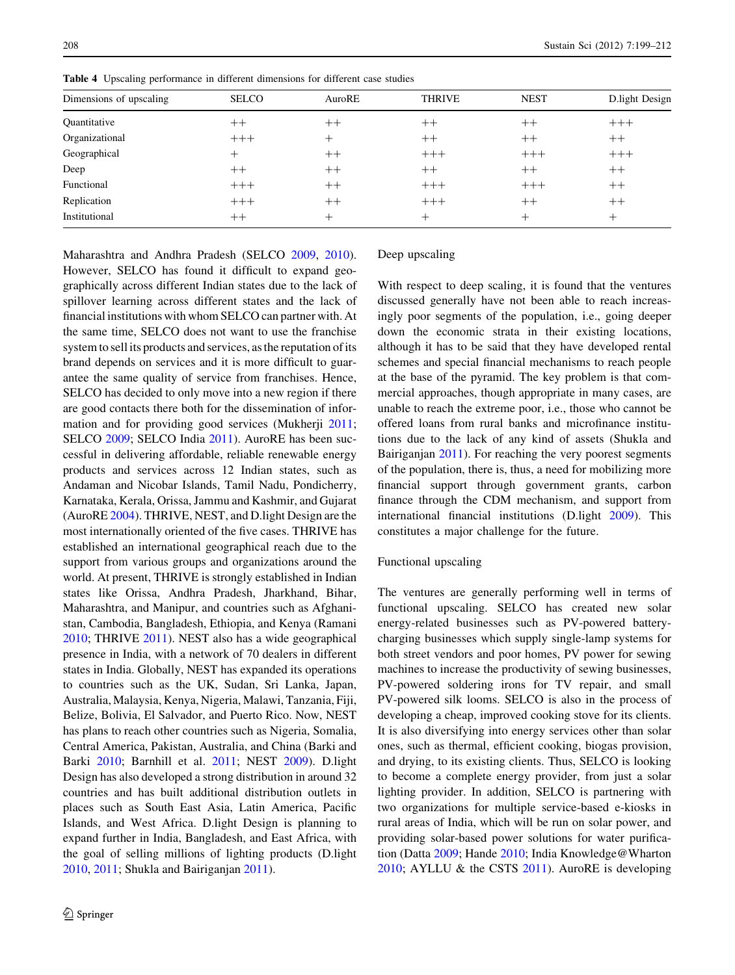| Dimensions of upscaling | <b>SELCO</b> | AuroRE  | <b>THRIVE</b> | <b>NEST</b> | D.light Design |
|-------------------------|--------------|---------|---------------|-------------|----------------|
| Quantitative            | $++$         | $^{++}$ | $++$          | $++$        | $+++$          |
| Organizational          | $+++$        | $^{+}$  | $++$          | $++$        | $++$           |
| Geographical            | $^{+}$       | $++$    | $+++$         | $+++$       | $+++$          |
| Deep                    | $++$         | $++$    | $++$          | $++$        | $++$           |
| Functional              | $+++$        | $++$    | $+++$         | $+++$       | $++$           |
| Replication             | $+++$        | $++$    | $+++$         | $++$        | $++$           |
| Institutional           | $++$         | $^{+}$  | $^{+}$        | $^{+}$      | $^{+}$         |

<span id="page-9-0"></span>Table 4 Upscaling performance in different dimensions for different case studies

Maharashtra and Andhra Pradesh (SELCO [2009](#page-13-0), [2010](#page-13-0)). However, SELCO has found it difficult to expand geographically across different Indian states due to the lack of spillover learning across different states and the lack of financial institutions with whom SELCO can partner with. At the same time, SELCO does not want to use the franchise system to sell its products and services, as the reputation of its brand depends on services and it is more difficult to guarantee the same quality of service from franchises. Hence, SELCO has decided to only move into a new region if there are good contacts there both for the dissemination of information and for providing good services (Mukherji [2011](#page-12-0); SELCO [2009;](#page-13-0) SELCO India [2011](#page-13-0)). AuroRE has been successful in delivering affordable, reliable renewable energy products and services across 12 Indian states, such as Andaman and Nicobar Islands, Tamil Nadu, Pondicherry, Karnataka, Kerala, Orissa, Jammu and Kashmir, and Gujarat (AuroRE [2004](#page-11-0)). THRIVE, NEST, and D.light Design are the most internationally oriented of the five cases. THRIVE has established an international geographical reach due to the support from various groups and organizations around the world. At present, THRIVE is strongly established in Indian states like Orissa, Andhra Pradesh, Jharkhand, Bihar, Maharashtra, and Manipur, and countries such as Afghanistan, Cambodia, Bangladesh, Ethiopia, and Kenya (Ramani [2010;](#page-13-0) THRIVE [2011](#page-13-0)). NEST also has a wide geographical presence in India, with a network of 70 dealers in different states in India. Globally, NEST has expanded its operations to countries such as the UK, Sudan, Sri Lanka, Japan, Australia, Malaysia, Kenya, Nigeria, Malawi, Tanzania, Fiji, Belize, Bolivia, El Salvador, and Puerto Rico. Now, NEST has plans to reach other countries such as Nigeria, Somalia, Central America, Pakistan, Australia, and China (Barki and Barki [2010](#page-12-0); Barnhill et al. [2011;](#page-12-0) NEST [2009](#page-12-0)). D.light Design has also developed a strong distribution in around 32 countries and has built additional distribution outlets in places such as South East Asia, Latin America, Pacific Islands, and West Africa. D.light Design is planning to expand further in India, Bangladesh, and East Africa, with the goal of selling millions of lighting products (D.light [2010,](#page-12-0) [2011;](#page-12-0) Shukla and Bairiganjan [2011\)](#page-13-0).

## Deep upscaling

With respect to deep scaling, it is found that the ventures discussed generally have not been able to reach increasingly poor segments of the population, i.e., going deeper down the economic strata in their existing locations, although it has to be said that they have developed rental schemes and special financial mechanisms to reach people at the base of the pyramid. The key problem is that commercial approaches, though appropriate in many cases, are unable to reach the extreme poor, i.e., those who cannot be offered loans from rural banks and microfinance institutions due to the lack of any kind of assets (Shukla and Bairiganjan [2011\)](#page-13-0). For reaching the very poorest segments of the population, there is, thus, a need for mobilizing more financial support through government grants, carbon finance through the CDM mechanism, and support from international financial institutions (D.light [2009\)](#page-12-0). This constitutes a major challenge for the future.

#### Functional upscaling

The ventures are generally performing well in terms of functional upscaling. SELCO has created new solar energy-related businesses such as PV-powered batterycharging businesses which supply single-lamp systems for both street vendors and poor homes, PV power for sewing machines to increase the productivity of sewing businesses, PV-powered soldering irons for TV repair, and small PV-powered silk looms. SELCO is also in the process of developing a cheap, improved cooking stove for its clients. It is also diversifying into energy services other than solar ones, such as thermal, efficient cooking, biogas provision, and drying, to its existing clients. Thus, SELCO is looking to become a complete energy provider, from just a solar lighting provider. In addition, SELCO is partnering with two organizations for multiple service-based e-kiosks in rural areas of India, which will be run on solar power, and providing solar-based power solutions for water purification (Datta [2009;](#page-12-0) Hande [2010;](#page-12-0) India Knowledge@Wharton [2010](#page-12-0); AYLLU & the CSTS [2011\)](#page-11-0). AuroRE is developing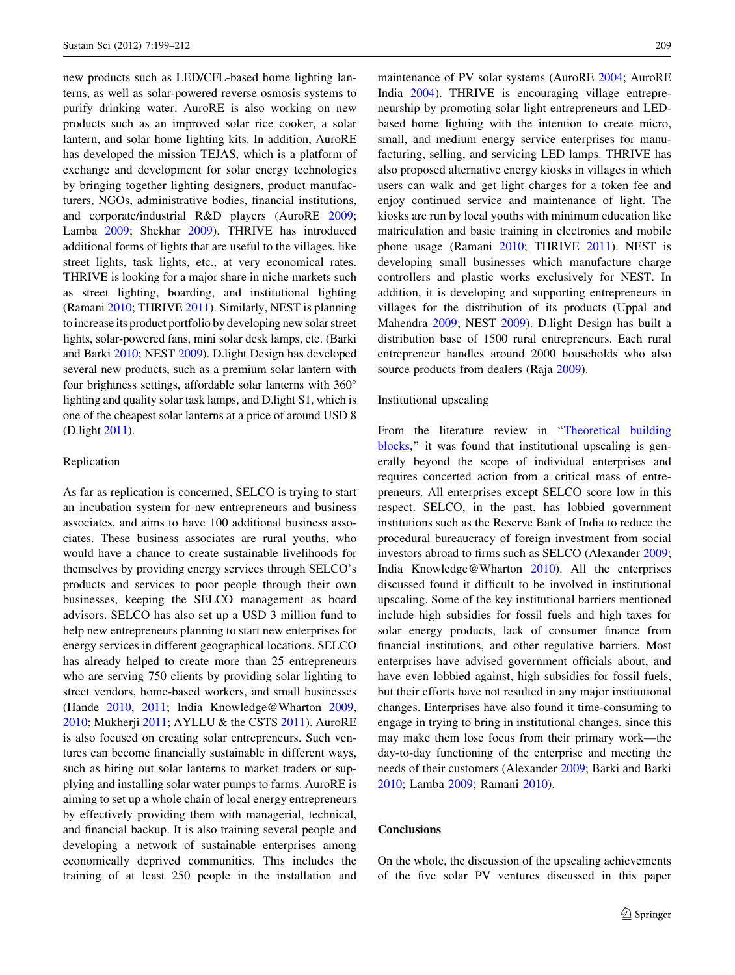<span id="page-10-0"></span>new products such as LED/CFL-based home lighting lanterns, as well as solar-powered reverse osmosis systems to purify drinking water. AuroRE is also working on new products such as an improved solar rice cooker, a solar lantern, and solar home lighting kits. In addition, AuroRE has developed the mission TEJAS, which is a platform of exchange and development for solar energy technologies by bringing together lighting designers, product manufacturers, NGOs, administrative bodies, financial institutions, and corporate/industrial R&D players (AuroRE [2009](#page-11-0); Lamba [2009;](#page-12-0) Shekhar [2009](#page-13-0)). THRIVE has introduced additional forms of lights that are useful to the villages, like street lights, task lights, etc., at very economical rates. THRIVE is looking for a major share in niche markets such as street lighting, boarding, and institutional lighting (Ramani [2010;](#page-13-0) THRIVE [2011\)](#page-13-0). Similarly, NEST is planning to increase its product portfolio by developing new solar street lights, solar-powered fans, mini solar desk lamps, etc. (Barki and Barki [2010;](#page-12-0) NEST [2009](#page-12-0)). D.light Design has developed several new products, such as a premium solar lantern with four brightness settings, affordable solar lanterns with 360 lighting and quality solar task lamps, and D.light S1, which is one of the cheapest solar lanterns at a price of around USD 8 (D.light [2011\)](#page-12-0).

## Replication

As far as replication is concerned, SELCO is trying to start an incubation system for new entrepreneurs and business associates, and aims to have 100 additional business associates. These business associates are rural youths, who would have a chance to create sustainable livelihoods for themselves by providing energy services through SELCO's products and services to poor people through their own businesses, keeping the SELCO management as board advisors. SELCO has also set up a USD 3 million fund to help new entrepreneurs planning to start new enterprises for energy services in different geographical locations. SELCO has already helped to create more than 25 entrepreneurs who are serving 750 clients by providing solar lighting to street vendors, home-based workers, and small businesses (Hande [2010](#page-12-0), [2011;](#page-12-0) India Knowledge@Wharton [2009,](#page-12-0) [2010;](#page-12-0) Mukherji [2011;](#page-12-0) AYLLU & the CSTS [2011\)](#page-11-0). AuroRE is also focused on creating solar entrepreneurs. Such ventures can become financially sustainable in different ways, such as hiring out solar lanterns to market traders or supplying and installing solar water pumps to farms. AuroRE is aiming to set up a whole chain of local energy entrepreneurs by effectively providing them with managerial, technical, and financial backup. It is also training several people and developing a network of sustainable enterprises among economically deprived communities. This includes the training of at least 250 people in the installation and

maintenance of PV solar systems (AuroRE [2004;](#page-11-0) AuroRE India [2004\)](#page-11-0). THRIVE is encouraging village entrepreneurship by promoting solar light entrepreneurs and LEDbased home lighting with the intention to create micro, small, and medium energy service enterprises for manufacturing, selling, and servicing LED lamps. THRIVE has also proposed alternative energy kiosks in villages in which users can walk and get light charges for a token fee and enjoy continued service and maintenance of light. The kiosks are run by local youths with minimum education like matriculation and basic training in electronics and mobile phone usage (Ramani [2010;](#page-13-0) THRIVE [2011](#page-13-0)). NEST is developing small businesses which manufacture charge controllers and plastic works exclusively for NEST. In addition, it is developing and supporting entrepreneurs in villages for the distribution of its products (Uppal and Mahendra [2009;](#page-13-0) NEST [2009](#page-12-0)). D.light Design has built a distribution base of 1500 rural entrepreneurs. Each rural entrepreneur handles around 2000 households who also source products from dealers (Raja [2009](#page-13-0)).

#### Institutional upscaling

From the literature review in "Theoretical building [blocks](#page-1-0),'' it was found that institutional upscaling is generally beyond the scope of individual enterprises and requires concerted action from a critical mass of entrepreneurs. All enterprises except SELCO score low in this respect. SELCO, in the past, has lobbied government institutions such as the Reserve Bank of India to reduce the procedural bureaucracy of foreign investment from social investors abroad to firms such as SELCO (Alexander [2009](#page-11-0); India Knowledge@Wharton [2010](#page-12-0)). All the enterprises discussed found it difficult to be involved in institutional upscaling. Some of the key institutional barriers mentioned include high subsidies for fossil fuels and high taxes for solar energy products, lack of consumer finance from financial institutions, and other regulative barriers. Most enterprises have advised government officials about, and have even lobbied against, high subsidies for fossil fuels, but their efforts have not resulted in any major institutional changes. Enterprises have also found it time-consuming to engage in trying to bring in institutional changes, since this may make them lose focus from their primary work—the day-to-day functioning of the enterprise and meeting the needs of their customers (Alexander [2009;](#page-11-0) Barki and Barki [2010](#page-12-0); Lamba [2009](#page-12-0); Ramani [2010\)](#page-13-0).

## **Conclusions**

On the whole, the discussion of the upscaling achievements of the five solar PV ventures discussed in this paper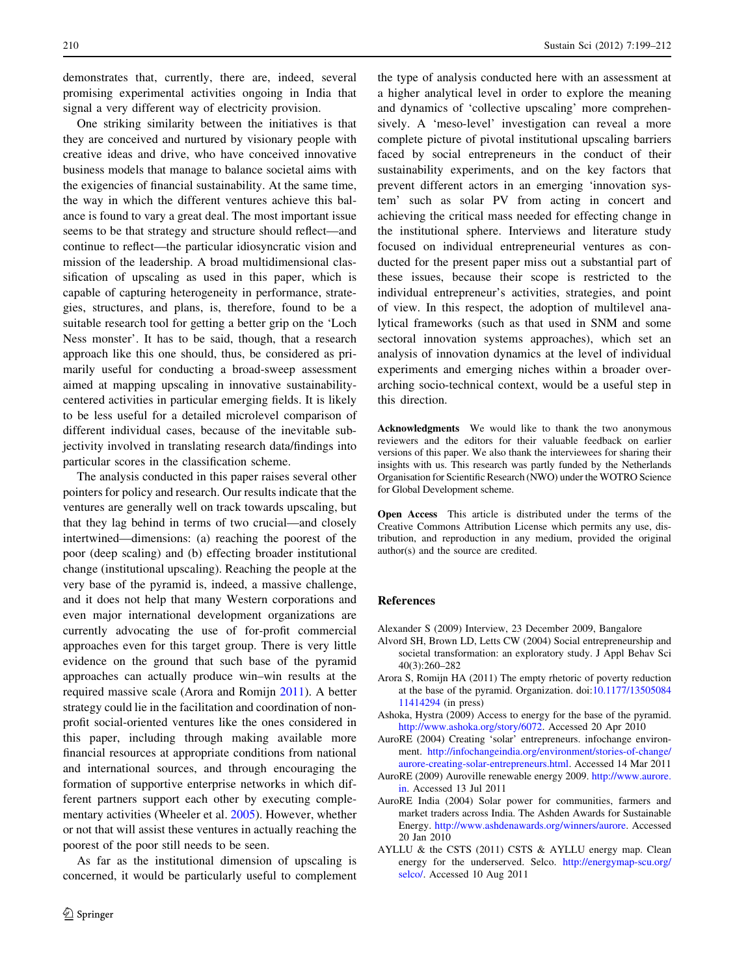<span id="page-11-0"></span>demonstrates that, currently, there are, indeed, several promising experimental activities ongoing in India that signal a very different way of electricity provision.

One striking similarity between the initiatives is that they are conceived and nurtured by visionary people with creative ideas and drive, who have conceived innovative business models that manage to balance societal aims with the exigencies of financial sustainability. At the same time, the way in which the different ventures achieve this balance is found to vary a great deal. The most important issue seems to be that strategy and structure should reflect—and continue to reflect—the particular idiosyncratic vision and mission of the leadership. A broad multidimensional classification of upscaling as used in this paper, which is capable of capturing heterogeneity in performance, strategies, structures, and plans, is, therefore, found to be a suitable research tool for getting a better grip on the 'Loch Ness monster'. It has to be said, though, that a research approach like this one should, thus, be considered as primarily useful for conducting a broad-sweep assessment aimed at mapping upscaling in innovative sustainabilitycentered activities in particular emerging fields. It is likely to be less useful for a detailed microlevel comparison of different individual cases, because of the inevitable subjectivity involved in translating research data/findings into particular scores in the classification scheme.

The analysis conducted in this paper raises several other pointers for policy and research. Our results indicate that the ventures are generally well on track towards upscaling, but that they lag behind in terms of two crucial—and closely intertwined—dimensions: (a) reaching the poorest of the poor (deep scaling) and (b) effecting broader institutional change (institutional upscaling). Reaching the people at the very base of the pyramid is, indeed, a massive challenge, and it does not help that many Western corporations and even major international development organizations are currently advocating the use of for-profit commercial approaches even for this target group. There is very little evidence on the ground that such base of the pyramid approaches can actually produce win–win results at the required massive scale (Arora and Romijn 2011). A better strategy could lie in the facilitation and coordination of nonprofit social-oriented ventures like the ones considered in this paper, including through making available more financial resources at appropriate conditions from national and international sources, and through encouraging the formation of supportive enterprise networks in which different partners support each other by executing complementary activities (Wheeler et al. [2005\)](#page-13-0). However, whether or not that will assist these ventures in actually reaching the poorest of the poor still needs to be seen.

As far as the institutional dimension of upscaling is concerned, it would be particularly useful to complement

the type of analysis conducted here with an assessment at a higher analytical level in order to explore the meaning and dynamics of 'collective upscaling' more comprehensively. A 'meso-level' investigation can reveal a more complete picture of pivotal institutional upscaling barriers faced by social entrepreneurs in the conduct of their sustainability experiments, and on the key factors that prevent different actors in an emerging 'innovation system' such as solar PV from acting in concert and achieving the critical mass needed for effecting change in the institutional sphere. Interviews and literature study focused on individual entrepreneurial ventures as conducted for the present paper miss out a substantial part of these issues, because their scope is restricted to the individual entrepreneur's activities, strategies, and point of view. In this respect, the adoption of multilevel analytical frameworks (such as that used in SNM and some sectoral innovation systems approaches), which set an analysis of innovation dynamics at the level of individual experiments and emerging niches within a broader overarching socio-technical context, would be a useful step in this direction.

Acknowledgments We would like to thank the two anonymous reviewers and the editors for their valuable feedback on earlier versions of this paper. We also thank the interviewees for sharing their insights with us. This research was partly funded by the Netherlands Organisation for Scientific Research (NWO) under the WOTRO Science for Global Development scheme.

Open Access This article is distributed under the terms of the Creative Commons Attribution License which permits any use, distribution, and reproduction in any medium, provided the original author(s) and the source are credited.

## References

- Alexander S (2009) Interview, 23 December 2009, Bangalore
- Alvord SH, Brown LD, Letts CW (2004) Social entrepreneurship and societal transformation: an exploratory study. J Appl Behav Sci 40(3):260–282
- Arora S, Romijn HA (2011) The empty rhetoric of poverty reduction at the base of the pyramid. Organization. doi[:10.1177/13505084](http://dx.doi.org/10.1177/1350508411414294) [11414294](http://dx.doi.org/10.1177/1350508411414294) (in press)
- Ashoka, Hystra (2009) Access to energy for the base of the pyramid. [http://www.ashoka.org/story/6072.](http://www.ashoka.org/story/6072) Accessed 20 Apr 2010
- AuroRE (2004) Creating 'solar' entrepreneurs. infochange environment. [http://infochangeindia.org/environment/stories-of-change/](http://infochangeindia.org/environment/stories-of-change/aurore-creating-solar-entrepreneurs.html) [aurore-creating-solar-entrepreneurs.html](http://infochangeindia.org/environment/stories-of-change/aurore-creating-solar-entrepreneurs.html). Accessed 14 Mar 2011
- AuroRE (2009) Auroville renewable energy 2009. [http://www.aurore.](http://www.aurore.in) [in.](http://www.aurore.in) Accessed 13 Jul 2011
- AuroRE India (2004) Solar power for communities, farmers and market traders across India. The Ashden Awards for Sustainable Energy. <http://www.ashdenawards.org/winners/aurore>. Accessed 20 Jan 2010
- AYLLU & the CSTS (2011) CSTS & AYLLU energy map. Clean energy for the underserved. Selco. [http://energymap-scu.org/](http://energymap-scu.org/selco/) [selco/.](http://energymap-scu.org/selco/) Accessed 10 Aug 2011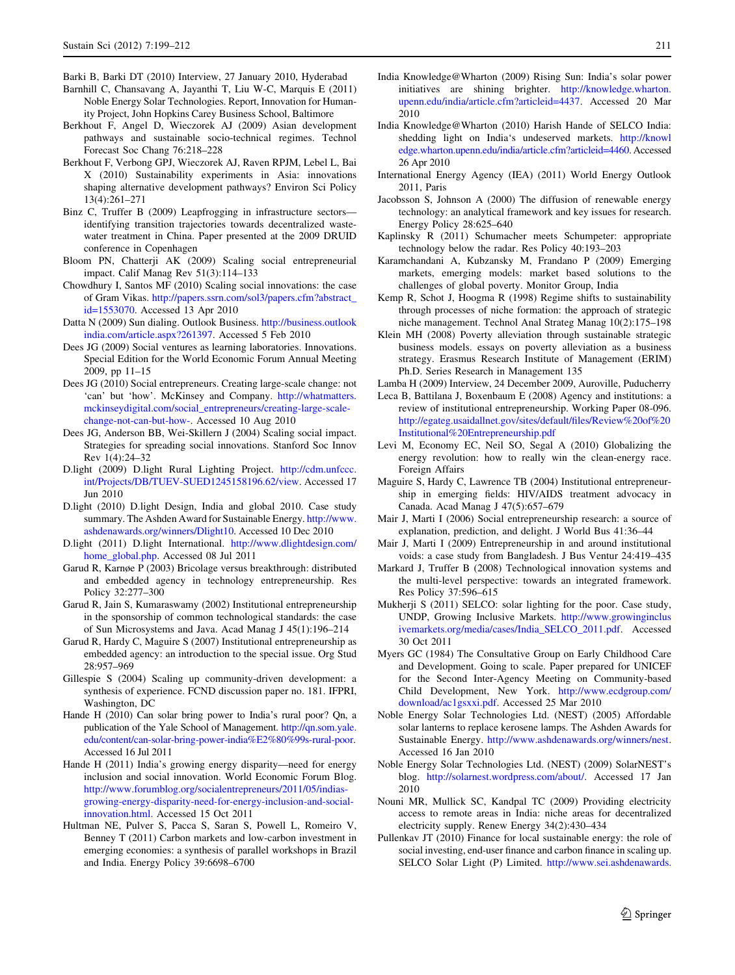<span id="page-12-0"></span>Barki B, Barki DT (2010) Interview, 27 January 2010, Hyderabad

- Barnhill C, Chansavang A, Jayanthi T, Liu W-C, Marquis E (2011) Noble Energy Solar Technologies. Report, Innovation for Humanity Project, John Hopkins Carey Business School, Baltimore
- Berkhout F, Angel D, Wieczorek AJ (2009) Asian development pathways and sustainable socio-technical regimes. Technol Forecast Soc Chang 76:218–228
- Berkhout F, Verbong GPJ, Wieczorek AJ, Raven RPJM, Lebel L, Bai X (2010) Sustainability experiments in Asia: innovations shaping alternative development pathways? Environ Sci Policy 13(4):261–271
- Binz C, Truffer B (2009) Leapfrogging in infrastructure sectors identifying transition trajectories towards decentralized wastewater treatment in China. Paper presented at the 2009 DRUID conference in Copenhagen
- Bloom PN, Chatterji AK (2009) Scaling social entrepreneurial impact. Calif Manag Rev 51(3):114–133
- Chowdhury I, Santos MF (2010) Scaling social innovations: the case of Gram Vikas. [http://papers.ssrn.com/sol3/papers.cfm?abstract\\_](http://papers.ssrn.com/sol3/papers.cfm?abstract_id=1553070) [id=1553070](http://papers.ssrn.com/sol3/papers.cfm?abstract_id=1553070). Accessed 13 Apr 2010
- Datta N (2009) Sun dialing. Outlook Business. [http://business.outlook](http://business.outlookindia.com/article.aspx?261397) [india.com/article.aspx?261397](http://business.outlookindia.com/article.aspx?261397). Accessed 5 Feb 2010
- Dees JG (2009) Social ventures as learning laboratories. Innovations. Special Edition for the World Economic Forum Annual Meeting 2009, pp 11–15
- Dees JG (2010) Social entrepreneurs. Creating large-scale change: not 'can' but 'how'. McKinsey and Company. [http://whatmatters.](http://whatmatters.mckinseydigital.com/social_entrepreneurs/creating-large-scale-change-not-can-but-how-) [mckinseydigital.com/social\\_entrepreneurs/creating-large-scale](http://whatmatters.mckinseydigital.com/social_entrepreneurs/creating-large-scale-change-not-can-but-how-)[change-not-can-but-how-](http://whatmatters.mckinseydigital.com/social_entrepreneurs/creating-large-scale-change-not-can-but-how-). Accessed 10 Aug 2010
- Dees JG, Anderson BB, Wei-Skillern J (2004) Scaling social impact. Strategies for spreading social innovations. Stanford Soc Innov Rev 1(4):24–32
- D.light (2009) D.light Rural Lighting Project. [http://cdm.unfccc.](http://cdm.unfccc.int/Projects/DB/TUEV-SUED1245158196.62/view) [int/Projects/DB/TUEV-SUED1245158196.62/view.](http://cdm.unfccc.int/Projects/DB/TUEV-SUED1245158196.62/view) Accessed 17 Jun 2010
- D.light (2010) D.light Design, India and global 2010. Case study summary. The Ashden Award for Sustainable Energy. [http://www.](http://www.ashdenawards.org/winners/Dlight10) [ashdenawards.org/winners/Dlight10](http://www.ashdenawards.org/winners/Dlight10). Accessed 10 Dec 2010
- D.light (2011) D.light International. [http://www.dlightdesign.com/](http://www.dlightdesign.com/home_global.php) [home\\_global.php](http://www.dlightdesign.com/home_global.php). Accessed 08 Jul 2011
- Garud R, Karnøe P (2003) Bricolage versus breakthrough: distributed and embedded agency in technology entrepreneurship. Res Policy 32:277–300
- Garud R, Jain S, Kumaraswamy (2002) Institutional entrepreneurship in the sponsorship of common technological standards: the case of Sun Microsystems and Java. Acad Manag J 45(1):196–214
- Garud R, Hardy C, Maguire S (2007) Institutional entrepreneurship as embedded agency: an introduction to the special issue. Org Stud 28:957–969
- Gillespie S (2004) Scaling up community-driven development: a synthesis of experience. FCND discussion paper no. 181. IFPRI, Washington, DC
- Hande H (2010) Can solar bring power to India's rural poor? Qn, a publication of the Yale School of Management. [http://qn.som.yale.](http://qn.som.yale.edu/content/can-solar-bring-power-india%E2%80%99s-rural-poor) [edu/content/can-solar-bring-power-india%E2%80%99s-rural-poor](http://qn.som.yale.edu/content/can-solar-bring-power-india%E2%80%99s-rural-poor). Accessed 16 Jul 2011
- Hande H (2011) India's growing energy disparity—need for energy inclusion and social innovation. World Economic Forum Blog. [http://www.forumblog.org/socialentrepreneurs/2011/05/indias](http://www.forumblog.org/socialentrepreneurs/2011/05/indias-growing-energy-disparity-need-for-energy-inclusion-and-social-innovation.html)[growing-energy-disparity-need-for-energy-inclusion-and-social](http://www.forumblog.org/socialentrepreneurs/2011/05/indias-growing-energy-disparity-need-for-energy-inclusion-and-social-innovation.html)[innovation.html](http://www.forumblog.org/socialentrepreneurs/2011/05/indias-growing-energy-disparity-need-for-energy-inclusion-and-social-innovation.html). Accessed 15 Oct 2011
- Hultman NE, Pulver S, Pacca S, Saran S, Powell L, Romeiro V, Benney T (2011) Carbon markets and low-carbon investment in emerging economies: a synthesis of parallel workshops in Brazil and India. Energy Policy 39:6698–6700
- India Knowledge@Wharton (2009) Rising Sun: India's solar power initiatives are shining brighter. [http://knowledge.wharton.](http://knowledge.wharton.upenn.edu/india/article.cfm?articleid=4437) [upenn.edu/india/article.cfm?articleid=4437](http://knowledge.wharton.upenn.edu/india/article.cfm?articleid=4437). Accessed 20 Mar 2010
- India Knowledge@Wharton (2010) Harish Hande of SELCO India: shedding light on India's undeserved markets. [http://knowl](http://knowledge.wharton.upenn.edu/india/article.cfm?articleid=4460) [edge.wharton.upenn.edu/india/article.cfm?articleid=4460.](http://knowledge.wharton.upenn.edu/india/article.cfm?articleid=4460) Accessed 26 Apr 2010
- International Energy Agency (IEA) (2011) World Energy Outlook 2011, Paris
- Jacobsson S, Johnson A (2000) The diffusion of renewable energy technology: an analytical framework and key issues for research. Energy Policy 28:625–640
- Kaplinsky R (2011) Schumacher meets Schumpeter: appropriate technology below the radar. Res Policy 40:193–203
- Karamchandani A, Kubzansky M, Frandano P (2009) Emerging markets, emerging models: market based solutions to the challenges of global poverty. Monitor Group, India
- Kemp R, Schot J, Hoogma R (1998) Regime shifts to sustainability through processes of niche formation: the approach of strategic niche management. Technol Anal Strateg Manag 10(2):175–198
- Klein MH (2008) Poverty alleviation through sustainable strategic business models. essays on poverty alleviation as a business strategy. Erasmus Research Institute of Management (ERIM) Ph.D. Series Research in Management 135
- Lamba H (2009) Interview, 24 December 2009, Auroville, Puducherry
- Leca B, Battilana J, Boxenbaum E (2008) Agency and institutions: a review of institutional entrepreneurship. Working Paper 08-096. [http://egateg.usaidallnet.gov/sites/default/files/Review%20of%20](http://egateg.usaidallnet.gov/sites/default/files/Review%20of%20Institutional%20Entrepreneurship.pdf) [Institutional%20Entrepreneurship.pdf](http://egateg.usaidallnet.gov/sites/default/files/Review%20of%20Institutional%20Entrepreneurship.pdf)
- Levi M, Economy EC, Neil SO, Segal A (2010) Globalizing the energy revolution: how to really win the clean-energy race. Foreign Affairs
- Maguire S, Hardy C, Lawrence TB (2004) Institutional entrepreneurship in emerging fields: HIV/AIDS treatment advocacy in Canada. Acad Manag J 47(5):657–679
- Mair J, Marti I (2006) Social entrepreneurship research: a source of explanation, prediction, and delight. J World Bus 41:36–44
- Mair J, Marti I (2009) Entrepreneurship in and around institutional voids: a case study from Bangladesh. J Bus Ventur 24:419–435
- Markard J, Truffer B (2008) Technological innovation systems and the multi-level perspective: towards an integrated framework. Res Policy 37:596–615
- Mukherji S (2011) SELCO: solar lighting for the poor. Case study, UNDP, Growing Inclusive Markets. [http://www.growinginclus](http://www.growinginclusivemarkets.org/media/cases/India_SELCO_2011.pdf) [ivemarkets.org/media/cases/India\\_SELCO\\_2011.pdf.](http://www.growinginclusivemarkets.org/media/cases/India_SELCO_2011.pdf) Accessed 30 Oct 2011
- Myers GC (1984) The Consultative Group on Early Childhood Care and Development. Going to scale. Paper prepared for UNICEF for the Second Inter-Agency Meeting on Community-based Child Development, New York. [http://www.ecdgroup.com/](http://www.ecdgroup.com/download/ac1gsxxi.pdf) [download/ac1gsxxi.pdf.](http://www.ecdgroup.com/download/ac1gsxxi.pdf) Accessed 25 Mar 2010
- Noble Energy Solar Technologies Ltd. (NEST) (2005) Affordable solar lanterns to replace kerosene lamps. The Ashden Awards for Sustainable Energy. <http://www.ashdenawards.org/winners/nest>. Accessed 16 Jan 2010
- Noble Energy Solar Technologies Ltd. (NEST) (2009) SolarNEST's blog. [http://solarnest.wordpress.com/about/.](http://solarnest.wordpress.com/about/) Accessed 17 Jan 2010
- Nouni MR, Mullick SC, Kandpal TC (2009) Providing electricity access to remote areas in India: niche areas for decentralized electricity supply. Renew Energy 34(2):430–434
- Pullenkav JT (2010) Finance for local sustainable energy: the role of social investing, end-user finance and carbon finance in scaling up. SELCO Solar Light (P) Limited. [http://www.sei.ashdenawards.](http://www.sei.ashdenawards.org/presentations/files/Day_2_Presentation_3_SELCO.ppt)